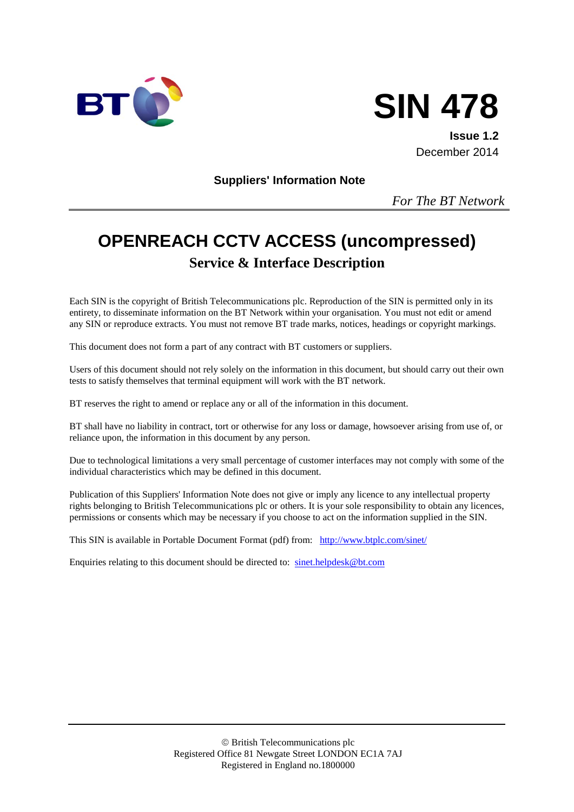



**Issue 1.2** December 2014

**Suppliers' Information Note**

*For The BT Network*

# **OPENREACH CCTV ACCESS (uncompressed) Service & Interface Description**

Each SIN is the copyright of British Telecommunications plc. Reproduction of the SIN is permitted only in its entirety, to disseminate information on the BT Network within your organisation. You must not edit or amend any SIN or reproduce extracts. You must not remove BT trade marks, notices, headings or copyright markings.

This document does not form a part of any contract with BT customers or suppliers.

Users of this document should not rely solely on the information in this document, but should carry out their own tests to satisfy themselves that terminal equipment will work with the BT network.

BT reserves the right to amend or replace any or all of the information in this document.

BT shall have no liability in contract, tort or otherwise for any loss or damage, howsoever arising from use of, or reliance upon, the information in this document by any person.

Due to technological limitations a very small percentage of customer interfaces may not comply with some of the individual characteristics which may be defined in this document.

Publication of this Suppliers' Information Note does not give or imply any licence to any intellectual property rights belonging to British Telecommunications plc or others. It is your sole responsibility to obtain any licences, permissions or consents which may be necessary if you choose to act on the information supplied in the SIN.

This SIN is available in Portable Document Format (pdf) from: <http://www.btplc.com/sinet/>

Enquiries relating to this document should be directed to: [sinet.helpdesk@bt.com](mailto:sinet.helpdesk@bt.com)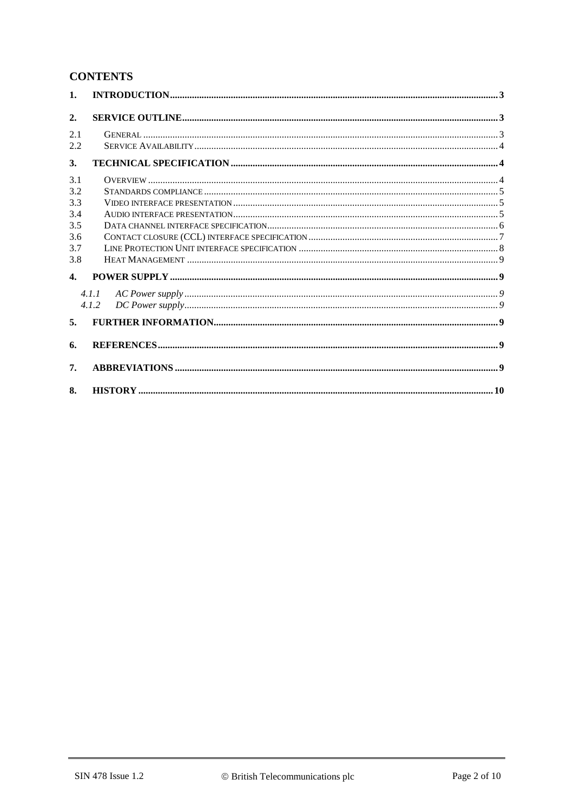### **CONTENTS**

| $\mathbf{1}$ .   |       |  |
|------------------|-------|--|
| $\overline{2}$ . |       |  |
| 2.1              |       |  |
| 2.2              |       |  |
| 3.               |       |  |
| 3.1              |       |  |
| 3.2              |       |  |
| 3.3              |       |  |
| 3.4              |       |  |
| 3.5              |       |  |
| 3.6              |       |  |
| 3.7              |       |  |
| 3.8              |       |  |
| $\mathbf{4}$     |       |  |
|                  | 4.1.1 |  |
|                  | 4.1.2 |  |
| 5 <sub>1</sub>   |       |  |
| 6.               |       |  |
| 7.               |       |  |
| 8.               |       |  |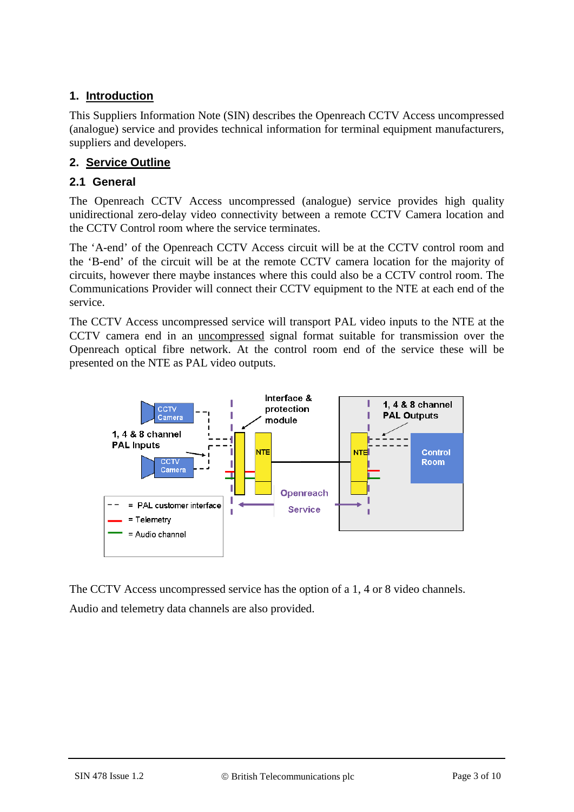### **1. Introduction**

This Suppliers Information Note (SIN) describes the Openreach CCTV Access uncompressed (analogue) service and provides technical information for terminal equipment manufacturers, suppliers and developers.

### **2. Service Outline**

#### **2.1 General**

The Openreach CCTV Access uncompressed (analogue) service provides high quality unidirectional zero-delay video connectivity between a remote CCTV Camera location and the CCTV Control room where the service terminates.

The 'A-end' of the Openreach CCTV Access circuit will be at the CCTV control room and the 'B-end' of the circuit will be at the remote CCTV camera location for the majority of circuits, however there maybe instances where this could also be a CCTV control room. The Communications Provider will connect their CCTV equipment to the NTE at each end of the service.

The CCTV Access uncompressed service will transport PAL video inputs to the NTE at the CCTV camera end in an uncompressed signal format suitable for transmission over the Openreach optical fibre network. At the control room end of the service these will be presented on the NTE as PAL video outputs.



The CCTV Access uncompressed service has the option of a 1, 4 or 8 video channels. Audio and telemetry data channels are also provided.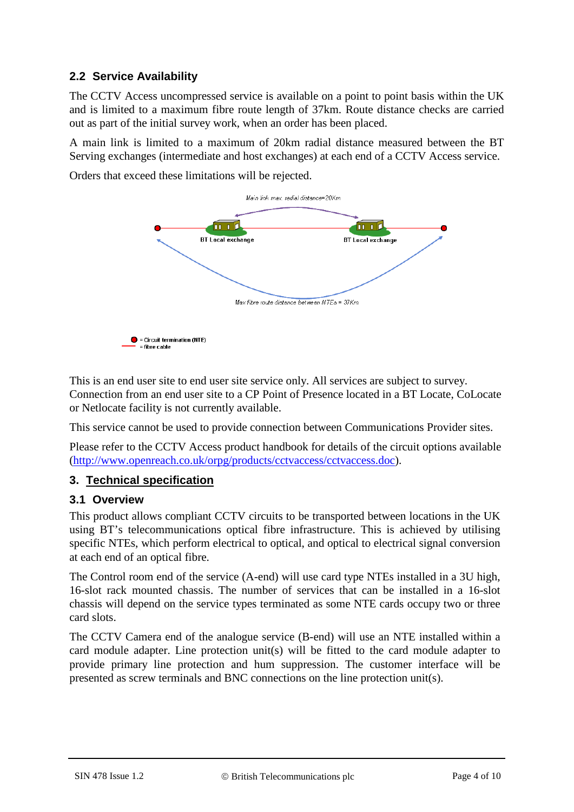### **2.2 Service Availability**

The CCTV Access uncompressed service is available on a point to point basis within the UK and is limited to a maximum fibre route length of 37km. Route distance checks are carried out as part of the initial survey work, when an order has been placed.

A main link is limited to a maximum of 20km radial distance measured between the BT Serving exchanges (intermediate and host exchanges) at each end of a CCTV Access service.

Orders that exceed these limitations will be rejected.



This is an end user site to end user site service only. All services are subject to survey. Connection from an end user site to a CP Point of Presence located in a BT Locate, CoLocate or Netlocate facility is not currently available.

This service cannot be used to provide connection between Communications Provider sites.

Please refer to the CCTV Access product handbook for details of the circuit options available [\(http://www.openreach.co.uk/orpg/products/cctvaccess/cctvaccess.doc\)](http://www.openreach.co.uk/orpg/products/cctvaccess/cctvaccess.doc).

### **3. Technical specification**

#### **3.1 Overview**

This product allows compliant CCTV circuits to be transported between locations in the UK using BT's telecommunications optical fibre infrastructure. This is achieved by utilising specific NTEs, which perform electrical to optical, and optical to electrical signal conversion at each end of an optical fibre.

The Control room end of the service (A-end) will use card type NTEs installed in a 3U high, 16-slot rack mounted chassis. The number of services that can be installed in a 16-slot chassis will depend on the service types terminated as some NTE cards occupy two or three card slots.

The CCTV Camera end of the analogue service (B-end) will use an NTE installed within a card module adapter. Line protection unit(s) will be fitted to the card module adapter to provide primary line protection and hum suppression. The customer interface will be presented as screw terminals and BNC connections on the line protection unit(s).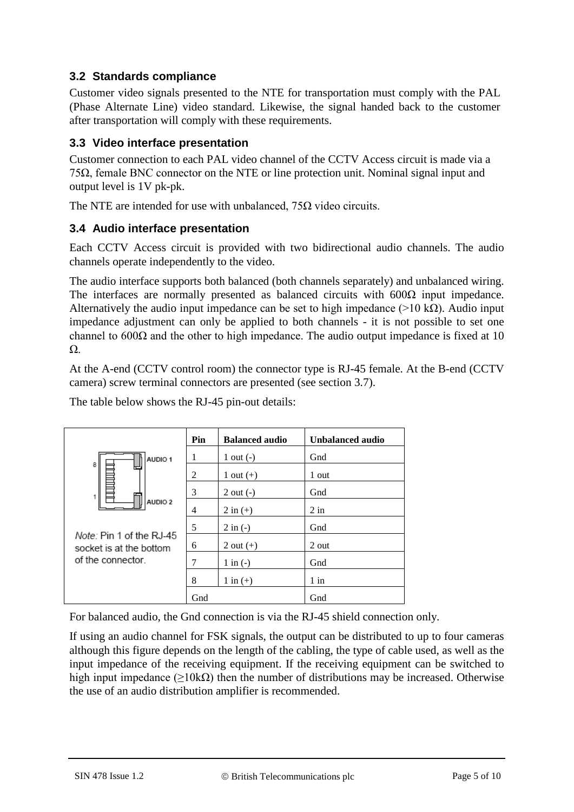### **3.2 Standards compliance**

Customer video signals presented to the NTE for transportation must comply with the PAL (Phase Alternate Line) video standard. Likewise, the signal handed back to the customer after transportation will comply with these requirements.

### **3.3 Video interface presentation**

Customer connection to each PAL video channel of the CCTV Access circuit is made via a 75Ω, female BNC connector on the NTE or line protection unit. Nominal signal input and output level is 1V pk-pk.

The NTE are intended for use with unbalanced,  $75\Omega$  video circuits.

### **3.4 Audio interface presentation**

Each CCTV Access circuit is provided with two bidirectional audio channels. The audio channels operate independently to the video.

The audio interface supports both balanced (both channels separately) and unbalanced wiring. The interfaces are normally presented as balanced circuits with  $600\Omega$  input impedance. Alternatively the audio input impedance can be set to high impedance ( $>10 \text{ k}\Omega$ ). Audio input impedance adjustment can only be applied to both channels - it is not possible to set one channel to  $600\Omega$  and the other to high impedance. The audio output impedance is fixed at 10 Ω.

At the A-end (CCTV control room) the connector type is RJ-45 female. At the B-end (CCTV camera) screw terminal connectors are presented (see section 3.7).

|                                                                                                | Pin            | <b>Balanced audio</b> | Unbalanced audio |
|------------------------------------------------------------------------------------------------|----------------|-----------------------|------------------|
| AUDIO 1                                                                                        | 1              | 1 out $(-)$           | Gnd              |
| 8                                                                                              | $\overline{2}$ | 1 out $(+)$           | 1 out            |
|                                                                                                | 3              | $2$ out $(-)$         | Gnd              |
| AUDIO <sub>2</sub><br>Note: Pin 1 of the RJ-45<br>socket is at the bottom<br>of the connector. | 4              | $2 \text{ in } (+)$   | $2$ in           |
|                                                                                                | 5              | $2 \text{ in } (-)$   | Gnd              |
|                                                                                                | 6              | 2 out $(+)$           | 2 out            |
|                                                                                                | 7              | $1$ in $(-)$          | Gnd              |
|                                                                                                | 8              | $1$ in $(+)$          | $1$ in           |
|                                                                                                | Gnd            |                       | Gnd              |

The table below shows the RJ-45 pin-out details:

For balanced audio, the Gnd connection is via the RJ-45 shield connection only.

If using an audio channel for FSK signals, the output can be distributed to up to four cameras although this figure depends on the length of the cabling, the type of cable used, as well as the input impedance of the receiving equipment. If the receiving equipment can be switched to high input impedance ( $\geq$ 10kΩ) then the number of distributions may be increased. Otherwise the use of an audio distribution amplifier is recommended.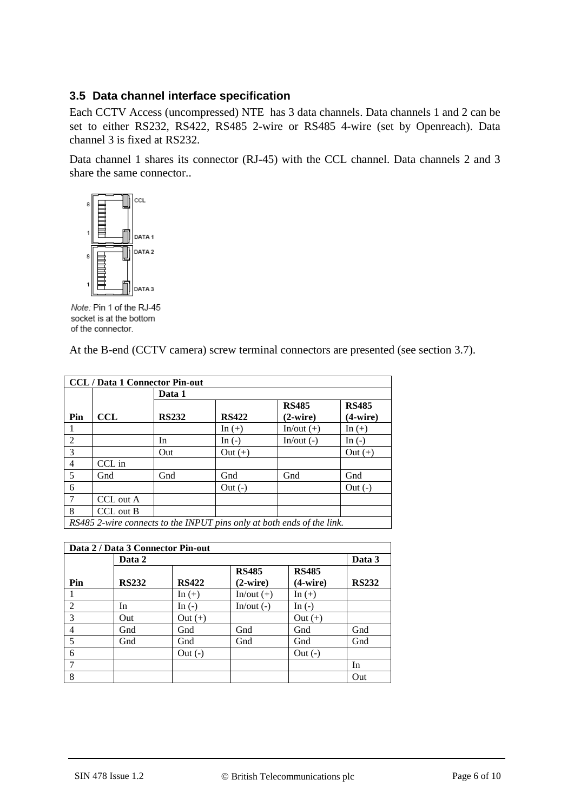#### **3.5 Data channel interface specification**

Each CCTV Access (uncompressed) NTE has 3 data channels. Data channels 1 and 2 can be set to either RS232, RS422, RS485 2-wire or RS485 4-wire (set by Openreach). Data channel 3 is fixed at RS232.

Data channel 1 shares its connector (RJ-45) with the CCL channel. Data channels 2 and 3 share the same connector..



Note: Pin 1 of the RJ-45 socket is at the bottom of the connector.

At the B-end (CCTV camera) screw terminal connectors are presented (see section 3.7).

| <b>CCL/Data 1 Connector Pin-out</b> |                                                                        |              |              |                   |              |
|-------------------------------------|------------------------------------------------------------------------|--------------|--------------|-------------------|--------------|
|                                     |                                                                        | Data 1       |              |                   |              |
|                                     |                                                                        |              |              | <b>RS485</b>      | <b>RS485</b> |
| Pin                                 | <b>CCL</b>                                                             | <b>RS232</b> | <b>RS422</b> | $(2\text{-wire})$ | $(4-wire)$   |
|                                     |                                                                        |              | In $(+)$     | $In/out (+)$      | In $(+)$     |
| $\mathfrak{D}$                      |                                                                        | In           | In $(-)$     | In/out $(-)$      | In $(-)$     |
| 3                                   |                                                                        | Out          | $Out (+)$    |                   | Out $(+)$    |
| $\overline{4}$                      | CCL in                                                                 |              |              |                   |              |
| 5                                   | Gnd                                                                    | Gnd          | Gnd          | Gnd               | Gnd          |
| 6                                   |                                                                        |              | $Out(-)$     |                   | $Out(-)$     |
| 7                                   | CCL out A                                                              |              |              |                   |              |
| 8                                   | CCL out B                                                              |              |              |                   |              |
|                                     | RS485 2-wire connects to the INPUT pins only at both ends of the link. |              |              |                   |              |

| Data 2 / Data 3 Connector Pin-out |              |              |                   |              |              |
|-----------------------------------|--------------|--------------|-------------------|--------------|--------------|
|                                   | Data 2       |              |                   |              | Data 3       |
|                                   |              |              | <b>RS485</b>      | <b>RS485</b> |              |
| Pin                               | <b>RS232</b> | <b>RS422</b> | $(2\text{-wire})$ | $(4-wire)$   | <b>RS232</b> |
|                                   |              | In $(+)$     | $In/out (+)$      | In $(+)$     |              |
| $\overline{2}$                    | In           | In $(-)$     | In/out $(-)$      | In $(-)$     |              |
| 3                                 | Out          | Out $(+)$    |                   | Out $(+)$    |              |
| 4                                 | Gnd          | Gnd          | Gnd               | Gnd          | Gnd          |
| 5                                 | Gnd          | Gnd          | Gnd               | Gnd          | Gnd          |
| 6                                 |              | $Out(-)$     |                   | $Out(-)$     |              |
|                                   |              |              |                   |              | In           |
| 8                                 |              |              |                   |              | Out          |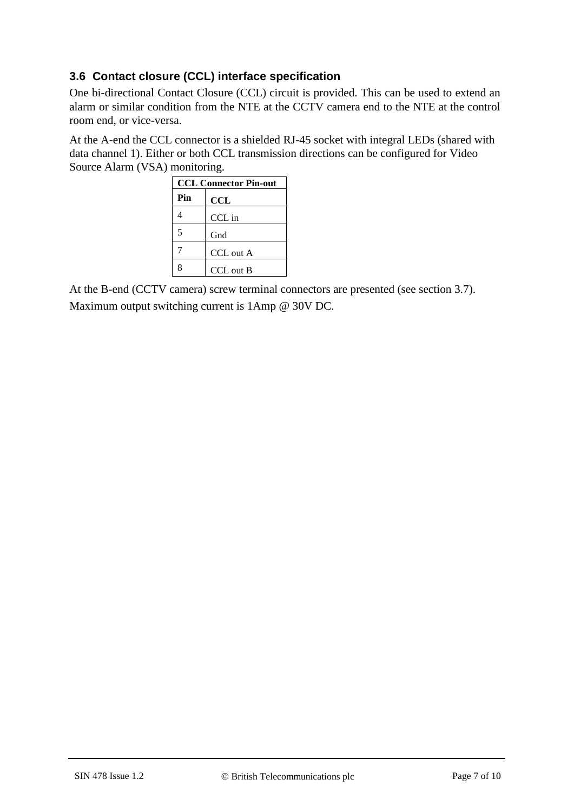### **3.6 Contact closure (CCL) interface specification**

One bi-directional Contact Closure (CCL) circuit is provided. This can be used to extend an alarm or similar condition from the NTE at the CCTV camera end to the NTE at the control room end, or vice-versa.

At the A-end the CCL connector is a shielded RJ-45 socket with integral LEDs (shared with data channel 1). Either or both CCL transmission directions can be configured for Video Source Alarm (VSA) monitoring.

|     | <b>CCL Connector Pin-out</b> |  |  |
|-----|------------------------------|--|--|
| Pin | $\operatorname{CCL}$         |  |  |
|     | CCL in                       |  |  |
| 5   | Gnd                          |  |  |
|     | CCL out A                    |  |  |
| 8   | CCL out B                    |  |  |

At the B-end (CCTV camera) screw terminal connectors are presented (see section 3.7). Maximum output switching current is 1Amp @ 30V DC.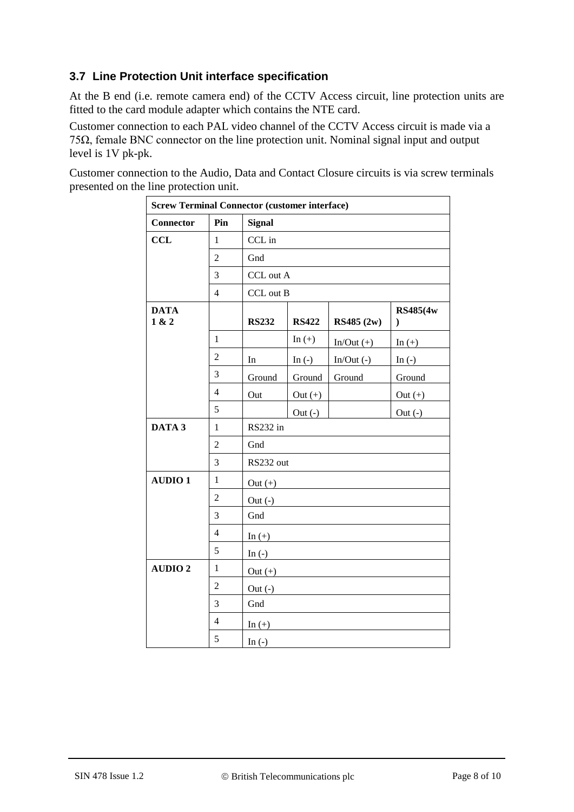### **3.7 Line Protection Unit interface specification**

At the B end (i.e. remote camera end) of the CCTV Access circuit, line protection units are fitted to the card module adapter which contains the NTE card.

Customer connection to each PAL video channel of the CCTV Access circuit is made via a 75Ω, female BNC connector on the line protection unit. Nominal signal input and output level is 1V pk-pk.

Customer connection to the Audio, Data and Contact Closure circuits is via screw terminals presented on the line protection unit.

| <b>Screw Terminal Connector (customer interface)</b> |                |               |              |              |                           |
|------------------------------------------------------|----------------|---------------|--------------|--------------|---------------------------|
| <b>Connector</b>                                     | Pin            | <b>Signal</b> |              |              |                           |
| <b>CCL</b>                                           | $\mathbf{1}$   | CCL in        |              |              |                           |
|                                                      | $\overline{2}$ | Gnd           |              |              |                           |
|                                                      | 3              | CCL out A     |              |              |                           |
|                                                      | $\overline{4}$ | CCL out B     |              |              |                           |
| <b>DATA</b><br>1 & 2                                 |                | <b>RS232</b>  | <b>RS422</b> | RS485 (2w)   | RS485(4w<br>$\mathcal{E}$ |
|                                                      | $\mathbf{1}$   |               | In $(+)$     | $In/Out (+)$ | In $(+)$                  |
|                                                      | $\overline{2}$ | In            | In $(-)$     | $In/Out(-)$  | In $(-)$                  |
|                                                      | 3              | Ground        | Ground       | Ground       | Ground                    |
|                                                      | $\overline{4}$ | Out           | Out $(+)$    |              | Out $(+)$                 |
|                                                      | 5              |               | Out $(-)$    |              | Out $(-)$                 |
| DATA 3                                               | $\mathbf{1}$   | RS232 in      |              |              |                           |
|                                                      | $\overline{2}$ | Gnd           |              |              |                           |
|                                                      | 3              | RS232 out     |              |              |                           |
| <b>AUDIO1</b>                                        | $\mathbf{1}$   | Out $(+)$     |              |              |                           |
|                                                      | $\overline{2}$ | $Out(-)$      |              |              |                           |
|                                                      | 3              | Gnd           |              |              |                           |
|                                                      | 4              | In $(+)$      |              |              |                           |
|                                                      | 5              | In $(-)$      |              |              |                           |
| <b>AUDIO 2</b>                                       | $\mathbf{1}$   | Out $(+)$     |              |              |                           |
|                                                      | $\overline{2}$ | Out $(-)$     |              |              |                           |
|                                                      | 3              | Gnd           |              |              |                           |
|                                                      | $\overline{4}$ | In $(+)$      |              |              |                           |
|                                                      | 5              | In $(-)$      |              |              |                           |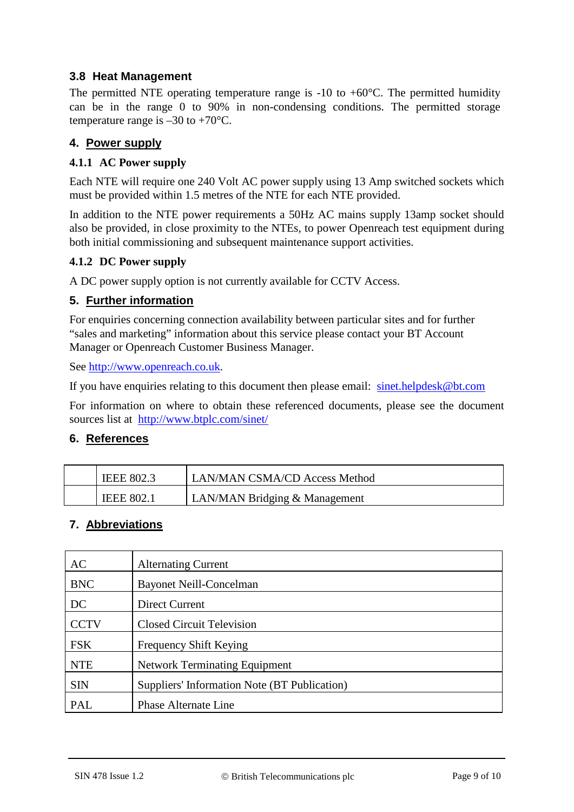### **3.8 Heat Management**

The permitted NTE operating temperature range is  $-10$  to  $+60^{\circ}$ C. The permitted humidity can be in the range 0 to 90% in non-condensing conditions. The permitted storage temperature range is  $-30$  to  $+70^{\circ}$ C.

#### **4. Power supply**

#### **4.1.1 AC Power supply**

Each NTE will require one 240 Volt AC power supply using 13 Amp switched sockets which must be provided within 1.5 metres of the NTE for each NTE provided.

In addition to the NTE power requirements a 50Hz AC mains supply 13amp socket should also be provided, in close proximity to the NTEs, to power Openreach test equipment during both initial commissioning and subsequent maintenance support activities.

#### **4.1.2 DC Power supply**

A DC power supply option is not currently available for CCTV Access.

#### **5. Further information**

For enquiries concerning connection availability between particular sites and for further "sales and marketing" information about this service please contact your BT Account Manager or Openreach Customer Business Manager.

See [http://www.openreach.co.uk.](http://www.openreach.co.uk/)

If you have enquiries relating to this document then please email: [sinet.helpdesk@bt.com](mailto:sinet.helpdesk@bt.com)

For information on where to obtain these referenced documents, please see the document sources list at <http://www.btplc.com/sinet/>

#### **6. References**

| <b>IEEE 802.3</b> | <b>LAN/MAN CSMA/CD Access Method</b> |
|-------------------|--------------------------------------|
| <b>IEEE 802.1</b> | LAN/MAN Bridging & Management        |

#### **7. Abbreviations**

| <b>AC</b>   | <b>Alternating Current</b>                   |
|-------------|----------------------------------------------|
| <b>BNC</b>  | <b>Bayonet Neill-Concelman</b>               |
| DC          | Direct Current                               |
| <b>CCTV</b> | <b>Closed Circuit Television</b>             |
| <b>FSK</b>  | Frequency Shift Keying                       |
| <b>NTE</b>  | <b>Network Terminating Equipment</b>         |
| <b>SIN</b>  | Suppliers' Information Note (BT Publication) |
| PAL         | Phase Alternate Line                         |